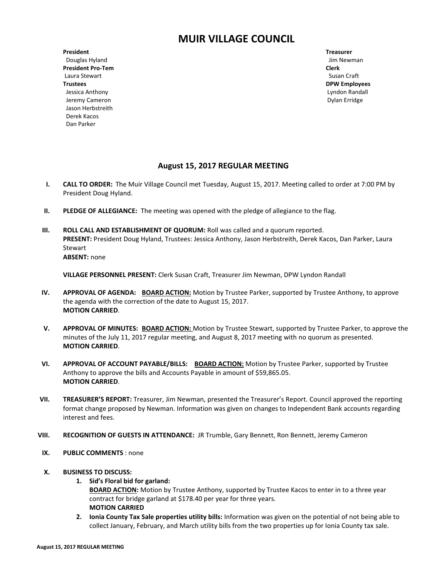# **MUIR VILLAGE COUNCIL**

**President Treasurer** Douglas Hyland Jim Newman Jim Newman Jim Newman Jim Newman Jim Newman Jim Newman Jim Newman Jim Newman Jim Newman **President Pro-Tem Clerk** Laura Stewart **Susan Craft Trustees DPW Employees** Jessica Anthony Lyndon Randall Jeremy Cameron **Dylan Erridge Dylan Erridge Dylan Erridge**  Jason Herbstreith Derek Kacos Dan Parker

## **August 15, 2017 REGULAR MEETING**

- **I. CALL TO ORDER:** The Muir Village Council met Tuesday, August 15, 2017. Meeting called to order at 7:00 PM by President Doug Hyland.
- **II. PLEDGE OF ALLEGIANCE:** The meeting was opened with the pledge of allegiance to the flag.
- **III. ROLL CALL AND ESTABLISHMENT OF QUORUM: Roll was called and a quorum reported. PRESENT:** President Doug Hyland, Trustees: Jessica Anthony, Jason Herbstreith, Derek Kacos, Dan Parker, Laura Stewart **ABSENT:** none

**VILLAGE PERSONNEL PRESENT:** Clerk Susan Craft, Treasurer Jim Newman, DPW Lyndon Randall

- **IV. APPROVAL OF AGENDA: BOARD ACTION:** Motion by Trustee Parker, supported by Trustee Anthony, to approve the agenda with the correction of the date to August 15, 2017. **MOTION CARRIED**.
- **V. APPROVAL OF MINUTES: BOARD ACTION:** Motion by Trustee Stewart, supported by Trustee Parker, to approve the minutes of the July 11, 2017 regular meeting, and August 8, 2017 meeting with no quorum as presented. **MOTION CARRIED**.
- **VI. APPROVAL OF ACCOUNT PAYABLE/BILLS: BOARD ACTION:** Motion by Trustee Parker, supported by Trustee Anthony to approve the bills and Accounts Payable in amount of \$59,865.05. **MOTION CARRIED**.
- **VII. TREASURER'S REPORT:** Treasurer, Jim Newman, presented the Treasurer's Report. Council approved the reporting format change proposed by Newman. Information was given on changes to Independent Bank accounts regarding interest and fees.
- **VIII. RECOGNITION OF GUESTS IN ATTENDANCE:** JR Trumble, Gary Bennett, Ron Bennett, Jeremy Cameron
- **IX. PUBLIC COMMENTS** : none
- **X. BUSINESS TO DISCUSS:**
	- **1. Sid's Floral bid for garland:**

**BOARD ACTION:** Motion by Trustee Anthony, supported by Trustee Kacos to enter in to a three year contract for bridge garland at \$178.40 per year for three years. **MOTION CARRIED**

**2. Ionia County Tax Sale properties utility bills:** Information was given on the potential of not being able to collect January, February, and March utility bills from the two properties up for Ionia County tax sale.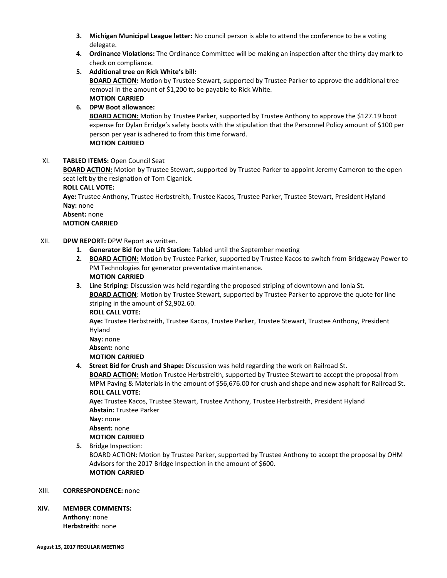- **3. Michigan Municipal League letter:** No council person is able to attend the conference to be a voting delegate.
- **4. Ordinance Violations:** The Ordinance Committee will be making an inspection after the thirty day mark to check on compliance.
- **5. Additional tree on Rick White's bill:**

**BOARD ACTION:** Motion by Trustee Stewart, supported by Trustee Parker to approve the additional tree removal in the amount of \$1,200 to be payable to Rick White. **MOTION CARRIED**

### **6. DPW Boot allowance:**

**BOARD ACTION:** Motion by Trustee Parker, supported by Trustee Anthony to approve the \$127.19 boot expense for Dylan Erridge's safety boots with the stipulation that the Personnel Policy amount of \$100 per person per year is adhered to from this time forward. **MOTION CARRIED**

#### XI. **TABLED ITEMS:** Open Council Seat

**BOARD ACTION:** Motion by Trustee Stewart, supported by Trustee Parker to appoint Jeremy Cameron to the open seat left by the resignation of Tom Ciganick.

**ROLL CALL VOTE:**

**Aye:** Trustee Anthony, Trustee Herbstreith, Trustee Kacos, Trustee Parker, Trustee Stewart, President Hyland **Nay:** none

**Absent:** none

**MOTION CARRIED**

- XII. **DPW REPORT:** DPW Report as written.
	- **1. Generator Bid for the Lift Station:** Tabled until the September meeting
	- **2. BOARD ACTION:** Motion by Trustee Parker, supported by Trustee Kacos to switch from Bridgeway Power to PM Technologies for generator preventative maintenance. **MOTION CARRIED**
	- **3. Line Striping:** Discussion was held regarding the proposed striping of downtown and Ionia St. **BOARD ACTION**: Motion by Trustee Stewart, supported by Trustee Parker to approve the quote for line striping in the amount of \$2,902.60.
		- **ROLL CALL VOTE:**

**Aye:** Trustee Herbstreith, Trustee Kacos, Trustee Parker, Trustee Stewart, Trustee Anthony, President Hyland

```
Nay: none
Absent: none
```
**MOTION CARRIED**

**4. Street Bid for Crush and Shape:** Discussion was held regarding the work on Railroad St.

**BOARD ACTION:** Motion Trustee Herbstreith, supported by Trustee Stewart to accept the proposal from MPM Paving & Materials in the amount of \$56,676.00 for crush and shape and new asphalt for Railroad St. **ROLL CALL VOTE:**

**Aye:** Trustee Kacos, Trustee Stewart, Trustee Anthony, Trustee Herbstreith, President Hyland **Abstain:** Trustee Parker

**Nay:** none

**Absent:** none

- **MOTION CARRIED**
- **5.** Bridge Inspection:

BOARD ACTION: Motion by Trustee Parker, supported by Trustee Anthony to accept the proposal by OHM Advisors for the 2017 Bridge Inspection in the amount of \$600. **MOTION CARRIED**

#### XIII. **CORRESPONDENCE:** none

**XIV. MEMBER COMMENTS:**

**Anthony**: none **Herbstreith**: none